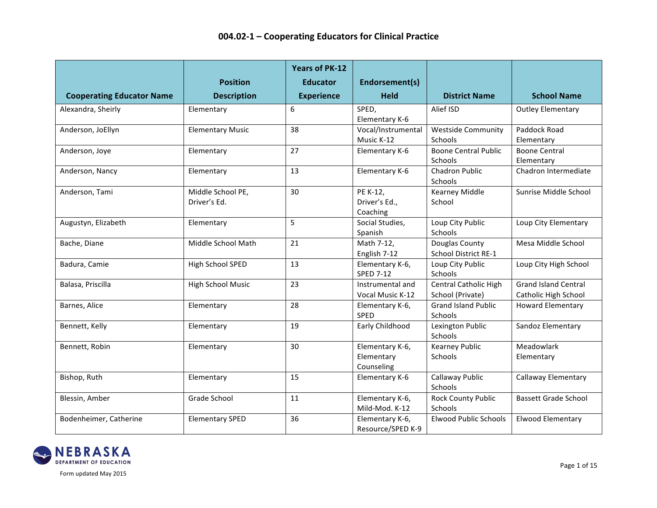| <b>Cooperating Educator Name</b> | <b>Position</b><br><b>Description</b> | <b>Years of PK-12</b><br><b>Educator</b><br><b>Experience</b> | Endorsement(s)<br><b>Held</b>               | <b>District Name</b>                      | <b>School Name</b>                                  |
|----------------------------------|---------------------------------------|---------------------------------------------------------------|---------------------------------------------|-------------------------------------------|-----------------------------------------------------|
| Alexandra, Sheirly               | Elementary                            | 6                                                             | SPED,                                       | Alief ISD                                 | <b>Outley Elementary</b>                            |
|                                  |                                       |                                                               | Elementary K-6                              |                                           |                                                     |
| Anderson, JoEllyn                | <b>Elementary Music</b>               | 38                                                            | Vocal/Instrumental<br>Music K-12            | <b>Westside Community</b><br>Schools      | Paddock Road<br>Elementary                          |
| Anderson, Joye                   | Elementary                            | 27                                                            | Elementary K-6                              | <b>Boone Central Public</b><br>Schools    | <b>Boone Central</b><br>Elementary                  |
| Anderson, Nancy                  | Elementary                            | 13                                                            | Elementary K-6                              | <b>Chadron Public</b><br>Schools          | Chadron Intermediate                                |
| Anderson, Tami                   | Middle School PE,<br>Driver's Ed.     | 30                                                            | PE K-12,<br>Driver's Ed.,<br>Coaching       | <b>Kearney Middle</b><br>School           | Sunrise Middle School                               |
| Augustyn, Elizabeth              | Elementary                            | 5                                                             | Social Studies,<br>Spanish                  | Loup City Public<br>Schools               | Loup City Elementary                                |
| Bache, Diane                     | Middle School Math                    | 21                                                            | Math 7-12,<br>English 7-12                  | Douglas County<br>School District RE-1    | Mesa Middle School                                  |
| Badura, Camie                    | High School SPED                      | 13                                                            | Elementary K-6,<br><b>SPED 7-12</b>         | Loup City Public<br>Schools               | Loup City High School                               |
| Balasa, Priscilla                | High School Music                     | 23                                                            | Instrumental and<br>Vocal Music K-12        | Central Catholic High<br>School (Private) | <b>Grand Island Central</b><br>Catholic High School |
| Barnes, Alice                    | Elementary                            | 28                                                            | Elementary K-6,<br><b>SPED</b>              | <b>Grand Island Public</b><br>Schools     | <b>Howard Elementary</b>                            |
| Bennett, Kelly                   | Elementary                            | 19                                                            | Early Childhood                             | Lexington Public<br>Schools               | Sandoz Elementary                                   |
| Bennett, Robin                   | Elementary                            | 30                                                            | Elementary K-6,<br>Elementary<br>Counseling | <b>Kearney Public</b><br>Schools          | Meadowlark<br>Elementary                            |
| Bishop, Ruth                     | Elementary                            | 15                                                            | Elementary K-6                              | Callaway Public<br>Schools                | <b>Callaway Elementary</b>                          |
| Blessin, Amber                   | Grade School                          | 11                                                            | Elementary K-6,<br>Mild-Mod. K-12           | <b>Rock County Public</b><br>Schools      | <b>Bassett Grade School</b>                         |
| Bodenheimer, Catherine           | <b>Elementary SPED</b>                | 36                                                            | Elementary K-6,<br>Resource/SPED K-9        | <b>Elwood Public Schools</b>              | <b>Elwood Elementary</b>                            |

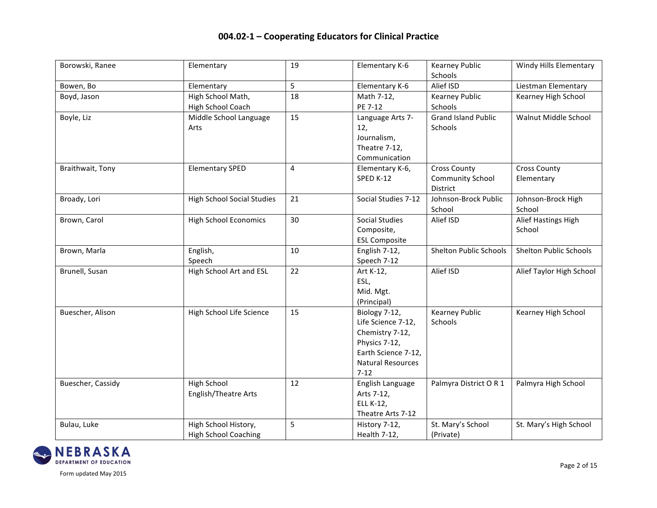| Borowski, Ranee   | Elementary                        | 19 | Elementary K-6           | <b>Kearney Public</b>         | <b>Windy Hills Elementary</b> |
|-------------------|-----------------------------------|----|--------------------------|-------------------------------|-------------------------------|
|                   |                                   |    |                          | Schools                       |                               |
| Bowen, Bo         | Elementary                        | 5  | Elementary K-6           | Alief ISD                     | Liestman Elementary           |
| Boyd, Jason       | High School Math,                 | 18 | Math 7-12,               | <b>Kearney Public</b>         | Kearney High School           |
|                   | High School Coach                 |    | PE 7-12                  | Schools                       |                               |
| Boyle, Liz        | Middle School Language            | 15 | Language Arts 7-         | <b>Grand Island Public</b>    | Walnut Middle School          |
|                   | Arts                              |    | 12,                      | Schools                       |                               |
|                   |                                   |    | Journalism,              |                               |                               |
|                   |                                   |    | Theatre 7-12,            |                               |                               |
|                   |                                   |    | Communication            |                               |                               |
| Braithwait, Tony  | <b>Elementary SPED</b>            | 4  | Elementary K-6,          | <b>Cross County</b>           | <b>Cross County</b>           |
|                   |                                   |    | SPED K-12                | <b>Community School</b>       | Elementary                    |
|                   |                                   |    |                          | District                      |                               |
| Broady, Lori      | <b>High School Social Studies</b> | 21 | Social Studies 7-12      | Johnson-Brock Public          | Johnson-Brock High            |
|                   |                                   |    |                          | School                        | School                        |
| Brown, Carol      | <b>High School Economics</b>      | 30 | <b>Social Studies</b>    | Alief ISD                     | Alief Hastings High           |
|                   |                                   |    | Composite,               |                               | School                        |
|                   |                                   |    | <b>ESL Composite</b>     |                               |                               |
| Brown, Marla      | English,                          | 10 | English 7-12,            | <b>Shelton Public Schools</b> | <b>Shelton Public Schools</b> |
|                   | Speech                            |    | Speech 7-12              |                               |                               |
| Brunell, Susan    | High School Art and ESL           | 22 | Art K-12,                | Alief ISD                     | Alief Taylor High School      |
|                   |                                   |    | ESL,                     |                               |                               |
|                   |                                   |    | Mid. Mgt.                |                               |                               |
|                   |                                   |    | (Principal)              |                               |                               |
| Buescher, Alison  | High School Life Science          | 15 | Biology 7-12,            | <b>Kearney Public</b>         | Kearney High School           |
|                   |                                   |    | Life Science 7-12,       | Schools                       |                               |
|                   |                                   |    | Chemistry 7-12,          |                               |                               |
|                   |                                   |    | Physics 7-12,            |                               |                               |
|                   |                                   |    | Earth Science 7-12,      |                               |                               |
|                   |                                   |    | <b>Natural Resources</b> |                               |                               |
|                   |                                   |    | $7 - 12$                 |                               |                               |
| Buescher, Cassidy | <b>High School</b>                | 12 | English Language         | Palmyra District O R 1        | Palmyra High School           |
|                   | English/Theatre Arts              |    | Arts 7-12,               |                               |                               |
|                   |                                   |    | ELL K-12,                |                               |                               |
|                   |                                   |    | Theatre Arts 7-12        |                               |                               |
| Bulau, Luke       | High School History,              | 5  | History 7-12,            | St. Mary's School             | St. Mary's High School        |
|                   | <b>High School Coaching</b>       |    | Health 7-12,             | (Private)                     |                               |

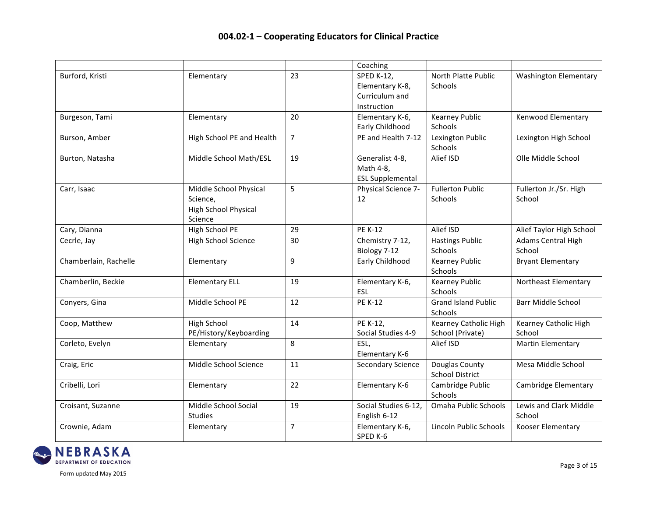|                       |                                                                              |                | Coaching                                                              |                                                  |                                  |
|-----------------------|------------------------------------------------------------------------------|----------------|-----------------------------------------------------------------------|--------------------------------------------------|----------------------------------|
| Burford, Kristi       | Elementary                                                                   | 23             | <b>SPED K-12,</b><br>Elementary K-8,<br>Curriculum and<br>Instruction | North Platte Public<br>Schools                   | <b>Washington Elementary</b>     |
| Burgeson, Tami        | Elementary                                                                   | 20             | Elementary K-6,<br>Early Childhood                                    | <b>Kearney Public</b><br>Schools                 | <b>Kenwood Elementary</b>        |
| Burson, Amber         | High School PE and Health                                                    | $\overline{7}$ | PE and Health 7-12                                                    | Lexington Public<br>Schools                      | Lexington High School            |
| Burton, Natasha       | Middle School Math/ESL                                                       | 19             | Generalist 4-8,<br>Math 4-8,<br><b>ESL Supplemental</b>               | Alief ISD                                        | Olle Middle School               |
| Carr, Isaac           | Middle School Physical<br>Science.<br><b>High School Physical</b><br>Science | 5              | Physical Science 7-<br>12                                             | <b>Fullerton Public</b><br>Schools               | Fullerton Jr./Sr. High<br>School |
| Cary, Dianna          | High School PE                                                               | 29             | <b>PE K-12</b>                                                        | Alief ISD                                        | Alief Taylor High School         |
| Cecrle, Jay           | <b>High School Science</b>                                                   | 30             | Chemistry 7-12,<br>Biology 7-12                                       | <b>Hastings Public</b><br>Schools                | Adams Central High<br>School     |
| Chamberlain, Rachelle | Elementary                                                                   | 9              | Early Childhood                                                       | <b>Kearney Public</b><br>Schools                 | <b>Bryant Elementary</b>         |
| Chamberlin, Beckie    | <b>Elementary ELL</b>                                                        | 19             | Elementary K-6,<br><b>ESL</b>                                         | <b>Kearney Public</b><br>Schools                 | Northeast Elementary             |
| Conyers, Gina         | Middle School PE                                                             | 12             | <b>PE K-12</b>                                                        | <b>Grand Island Public</b><br>Schools            | <b>Barr Middle School</b>        |
| Coop, Matthew         | <b>High School</b><br>PE/History/Keyboarding                                 | 14             | PE K-12,<br>Social Studies 4-9                                        | <b>Kearney Catholic High</b><br>School (Private) | Kearney Catholic High<br>School  |
| Corleto, Evelyn       | Elementary                                                                   | 8              | ESL,<br>Elementary K-6                                                | Alief ISD                                        | <b>Martin Elementary</b>         |
| Craig, Eric           | Middle School Science                                                        | 11             | <b>Secondary Science</b>                                              | Douglas County<br><b>School District</b>         | Mesa Middle School               |
| Cribelli, Lori        | Elementary                                                                   | 22             | Elementary K-6                                                        | Cambridge Public<br>Schools                      | Cambridge Elementary             |
| Croisant, Suzanne     | Middle School Social<br><b>Studies</b>                                       | 19             | Social Studies 6-12,<br>English 6-12                                  | Omaha Public Schools                             | Lewis and Clark Middle<br>School |
| Crownie, Adam         | Elementary                                                                   | $\overline{7}$ | Elementary K-6,<br>SPED K-6                                           | Lincoln Public Schools                           | Kooser Elementary                |

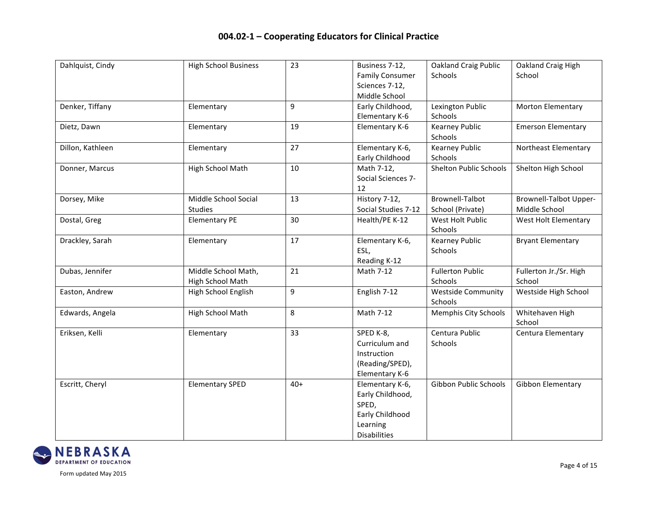| Dahlquist, Cindy | <b>High School Business</b> | 23    | Business 7-12,         | <b>Oakland Craig Public</b>   | Oakland Craig High            |
|------------------|-----------------------------|-------|------------------------|-------------------------------|-------------------------------|
|                  |                             |       | <b>Family Consumer</b> | Schools                       | School                        |
|                  |                             |       | Sciences 7-12,         |                               |                               |
|                  |                             |       | Middle School          |                               |                               |
| Denker, Tiffany  | Elementary                  | 9     | Early Childhood,       | Lexington Public              | <b>Morton Elementary</b>      |
|                  |                             |       | Elementary K-6         | Schools                       |                               |
| Dietz, Dawn      | Elementary                  | 19    | Elementary K-6         | <b>Kearney Public</b>         | <b>Emerson Elementary</b>     |
|                  |                             |       |                        | Schools                       |                               |
| Dillon, Kathleen | Elementary                  | 27    | Elementary K-6,        | <b>Kearney Public</b>         | Northeast Elementary          |
|                  |                             |       | Early Childhood        | Schools                       |                               |
| Donner, Marcus   | High School Math            | 10    | Math 7-12,             | <b>Shelton Public Schools</b> | Shelton High School           |
|                  |                             |       | Social Sciences 7-     |                               |                               |
|                  |                             |       | 12                     |                               |                               |
| Dorsey, Mike     | Middle School Social        | 13    | History 7-12,          | <b>Brownell-Talbot</b>        | <b>Brownell-Talbot Upper-</b> |
|                  | <b>Studies</b>              |       | Social Studies 7-12    | School (Private)              | Middle School                 |
| Dostal, Greg     | <b>Elementary PE</b>        | 30    | Health/PE K-12         | West Holt Public              | West Holt Elementary          |
|                  |                             |       |                        | Schools                       |                               |
| Drackley, Sarah  | Elementary                  | 17    | Elementary K-6,        | <b>Kearney Public</b>         | <b>Bryant Elementary</b>      |
|                  |                             |       | ESL,                   | Schools                       |                               |
|                  |                             |       | Reading K-12           |                               |                               |
| Dubas, Jennifer  | Middle School Math,         | 21    | Math 7-12              | <b>Fullerton Public</b>       | Fullerton Jr./Sr. High        |
|                  | High School Math            |       |                        | Schools                       | School                        |
| Easton, Andrew   | High School English         | 9     | English 7-12           | <b>Westside Community</b>     | Westside High School          |
|                  |                             |       |                        | Schools                       |                               |
| Edwards, Angela  | High School Math            | 8     | Math 7-12              | <b>Memphis City Schools</b>   | Whitehaven High               |
|                  |                             |       |                        |                               | School                        |
| Eriksen, Kelli   | Elementary                  | 33    | SPED K-8,              | Centura Public                | Centura Elementary            |
|                  |                             |       | Curriculum and         | Schools                       |                               |
|                  |                             |       | Instruction            |                               |                               |
|                  |                             |       | (Reading/SPED),        |                               |                               |
|                  |                             |       | Elementary K-6         |                               |                               |
| Escritt, Cheryl  | <b>Elementary SPED</b>      | $40+$ | Elementary K-6,        | Gibbon Public Schools         | Gibbon Elementary             |
|                  |                             |       | Early Childhood,       |                               |                               |
|                  |                             |       | SPED,                  |                               |                               |
|                  |                             |       | Early Childhood        |                               |                               |
|                  |                             |       | Learning               |                               |                               |
|                  |                             |       | <b>Disabilities</b>    |                               |                               |

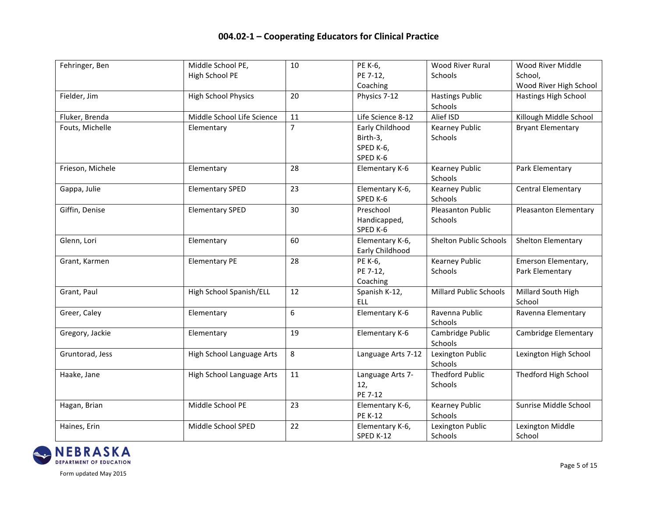| Fehringer, Ben   | Middle School PE,          | 10             | PE K-6,            | <b>Wood River Rural</b>       | Wood River Middle            |
|------------------|----------------------------|----------------|--------------------|-------------------------------|------------------------------|
|                  | High School PE             |                | PE 7-12,           | Schools                       | School.                      |
|                  |                            |                | Coaching           |                               | Wood River High School       |
| Fielder, Jim     | <b>High School Physics</b> | 20             | Physics 7-12       | <b>Hastings Public</b>        | Hastings High School         |
|                  |                            |                |                    | Schools                       |                              |
| Fluker, Brenda   | Middle School Life Science | 11             | Life Science 8-12  | Alief ISD                     | Killough Middle School       |
| Fouts, Michelle  | Elementary                 | $\overline{7}$ | Early Childhood    | <b>Kearney Public</b>         | <b>Bryant Elementary</b>     |
|                  |                            |                | Birth-3,           | Schools                       |                              |
|                  |                            |                | SPED K-6,          |                               |                              |
|                  |                            |                | SPED K-6           |                               |                              |
| Frieson, Michele | Elementary                 | 28             | Elementary K-6     | <b>Kearney Public</b>         | Park Elementary              |
|                  |                            |                |                    | Schools                       |                              |
| Gappa, Julie     | <b>Elementary SPED</b>     | 23             | Elementary K-6,    | <b>Kearney Public</b>         | <b>Central Elementary</b>    |
|                  |                            |                | SPED K-6           | Schools                       |                              |
| Giffin, Denise   | <b>Elementary SPED</b>     | 30             | Preschool          | <b>Pleasanton Public</b>      | <b>Pleasanton Elementary</b> |
|                  |                            |                | Handicapped,       | Schools                       |                              |
|                  |                            |                | SPED K-6           |                               |                              |
| Glenn, Lori      | Elementary                 | 60             | Elementary K-6,    | <b>Shelton Public Schools</b> | Shelton Elementary           |
|                  |                            |                | Early Childhood    |                               |                              |
| Grant, Karmen    | <b>Elementary PE</b>       | 28             | PE K-6,            | <b>Kearney Public</b>         | Emerson Elementary,          |
|                  |                            |                | PE 7-12,           | Schools                       | Park Elementary              |
|                  |                            |                | Coaching           |                               |                              |
| Grant, Paul      | High School Spanish/ELL    | 12             | Spanish K-12,      | <b>Millard Public Schools</b> | Millard South High           |
|                  |                            |                | ELL                |                               | School                       |
| Greer, Caley     | Elementary                 | 6              | Elementary K-6     | Ravenna Public                | Ravenna Elementary           |
|                  |                            |                |                    | Schools                       |                              |
| Gregory, Jackie  | Elementary                 | 19             | Elementary K-6     | Cambridge Public              | Cambridge Elementary         |
|                  |                            |                |                    | Schools                       |                              |
| Gruntorad, Jess  | High School Language Arts  | 8              | Language Arts 7-12 | Lexington Public              | Lexington High School        |
|                  |                            |                |                    | Schools                       |                              |
| Haake, Jane      | High School Language Arts  | 11             | Language Arts 7-   | <b>Thedford Public</b>        | Thedford High School         |
|                  |                            |                | 12,                | Schools                       |                              |
|                  |                            |                | PE 7-12            |                               |                              |
| Hagan, Brian     | Middle School PE           | 23             | Elementary K-6,    | <b>Kearney Public</b>         | Sunrise Middle School        |
|                  |                            |                | <b>PE K-12</b>     | Schools                       |                              |
| Haines, Erin     | Middle School SPED         | 22             | Elementary K-6,    | Lexington Public              | Lexington Middle             |
|                  |                            |                | SPED K-12          | Schools                       | School                       |

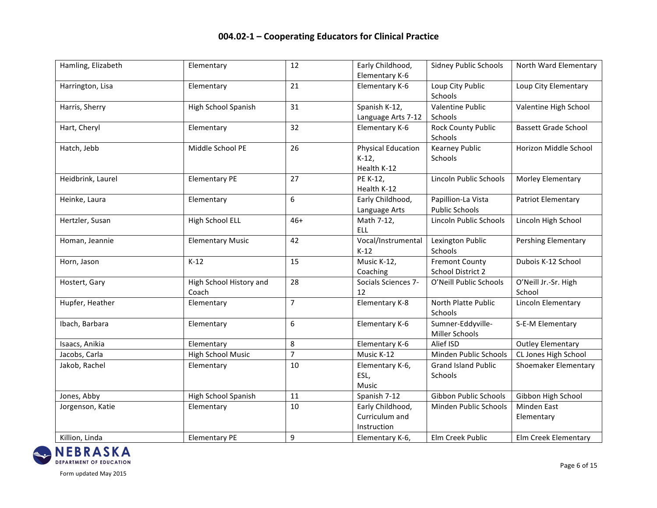| Hamling, Elizabeth | Elementary               | 12             | Early Childhood,          | <b>Sidney Public Schools</b> | North Ward Elementary       |
|--------------------|--------------------------|----------------|---------------------------|------------------------------|-----------------------------|
|                    |                          |                | Elementary K-6            |                              |                             |
| Harrington, Lisa   | Elementary               | 21             | Elementary K-6            | Loup City Public             | Loup City Elementary        |
|                    |                          |                |                           | Schools                      |                             |
| Harris, Sherry     | High School Spanish      | 31             | Spanish K-12,             | <b>Valentine Public</b>      | Valentine High School       |
|                    |                          |                | Language Arts 7-12        | Schools                      |                             |
| Hart, Cheryl       | Elementary               | 32             | Elementary K-6            | <b>Rock County Public</b>    | <b>Bassett Grade School</b> |
|                    |                          |                |                           | Schools                      |                             |
| Hatch, Jebb        | Middle School PE         | 26             | <b>Physical Education</b> | <b>Kearney Public</b>        | Horizon Middle School       |
|                    |                          |                | $K-12$                    | Schools                      |                             |
|                    |                          |                | Health K-12               |                              |                             |
| Heidbrink, Laurel  | <b>Elementary PE</b>     | 27             | PE K-12,                  | Lincoln Public Schools       | Morley Elementary           |
|                    |                          |                | Health K-12               |                              |                             |
| Heinke, Laura      | Elementary               | 6              | Early Childhood,          | Papillion-La Vista           | <b>Patriot Elementary</b>   |
|                    |                          |                | Language Arts             | <b>Public Schools</b>        |                             |
| Hertzler, Susan    | High School ELL          | $46+$          | Math 7-12,                | Lincoln Public Schools       | Lincoln High School         |
|                    |                          |                | <b>ELL</b>                |                              |                             |
| Homan, Jeannie     | <b>Elementary Music</b>  | 42             | Vocal/Instrumental        | Lexington Public             | <b>Pershing Elementary</b>  |
|                    |                          |                | $K-12$                    | Schools                      |                             |
| Horn, Jason        | $K-12$                   | 15             | Music K-12,               | <b>Fremont County</b>        | Dubois K-12 School          |
|                    |                          |                | Coaching                  | School District 2            |                             |
| Hostert, Gary      | High School History and  | 28             | Socials Sciences 7-       | O'Neill Public Schools       | O'Neill Jr.-Sr. High        |
|                    | Coach                    |                | 12                        |                              | School                      |
| Hupfer, Heather    | Elementary               | $\overline{7}$ | Elementary K-8            | North Platte Public          | Lincoln Elementary          |
|                    |                          |                |                           | Schools                      |                             |
| Ibach, Barbara     | Elementary               | 6              | Elementary K-6            | Sumner-Eddyville-            | S-E-M Elementary            |
|                    |                          |                |                           | Miller Schools               |                             |
| Isaacs, Anikia     | Elementary               | 8              | Elementary K-6            | Alief ISD                    | <b>Outley Elementary</b>    |
| Jacobs, Carla      | <b>High School Music</b> | $\overline{7}$ | Music K-12                | Minden Public Schools        | CL Jones High School        |
| Jakob, Rachel      | Elementary               | 10             | Elementary K-6,           | <b>Grand Island Public</b>   | Shoemaker Elementary        |
|                    |                          |                | ESL,                      | Schools                      |                             |
|                    |                          |                | <b>Music</b>              |                              |                             |
| Jones, Abby        | High School Spanish      | 11             | Spanish 7-12              | Gibbon Public Schools        | Gibbon High School          |
| Jorgenson, Katie   | Elementary               | 10             | Early Childhood,          | Minden Public Schools        | <b>Minden East</b>          |
|                    |                          |                | Curriculum and            |                              | Elementary                  |
|                    |                          |                | Instruction               |                              |                             |
| Killion, Linda     | <b>Elementary PE</b>     | 9              | Elementary K-6,           | Elm Creek Public             | Elm Creek Elementary        |

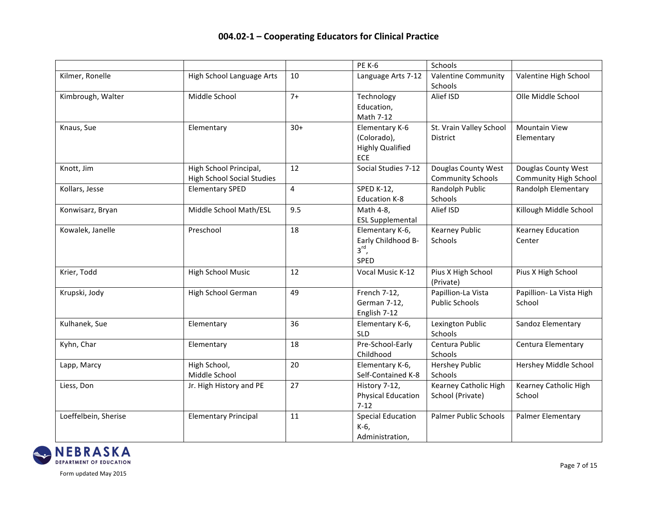|                      |                                                             |       | <b>PE K-6</b>                                                          | Schools                                         |                                                     |
|----------------------|-------------------------------------------------------------|-------|------------------------------------------------------------------------|-------------------------------------------------|-----------------------------------------------------|
| Kilmer, Ronelle      | High School Language Arts                                   | 10    | Language Arts 7-12                                                     | <b>Valentine Community</b><br>Schools           | Valentine High School                               |
| Kimbrough, Walter    | Middle School                                               | $7+$  | Technology<br>Education,<br>Math 7-12                                  | Alief ISD                                       | Olle Middle School                                  |
| Knaus, Sue           | Elementary                                                  | $30+$ | Elementary K-6<br>(Colorado),<br><b>Highly Qualified</b><br><b>FCF</b> | St. Vrain Valley School<br>District             | <b>Mountain View</b><br>Elementary                  |
| Knott, Jim           | High School Principal,<br><b>High School Social Studies</b> | 12    | Social Studies 7-12                                                    | Douglas County West<br><b>Community Schools</b> | Douglas County West<br><b>Community High School</b> |
| Kollars, Jesse       | <b>Elementary SPED</b>                                      | 4     | <b>SPED K-12,</b><br><b>Education K-8</b>                              | Randolph Public<br>Schools                      | <b>Randolph Elementary</b>                          |
| Konwisarz, Bryan     | Middle School Math/ESL                                      | 9.5   | Math 4-8,<br><b>ESL Supplemental</b>                                   | Alief ISD                                       | Killough Middle School                              |
| Kowalek, Janelle     | Preschool                                                   | 18    | Elementary K-6,<br>Early Childhood B-<br>$3^{\text{rd}}$ ,<br>SPED     | <b>Kearney Public</b><br>Schools                | <b>Kearney Education</b><br>Center                  |
| Krier, Todd          | <b>High School Music</b>                                    | 12    | Vocal Music K-12                                                       | Pius X High School<br>(Private)                 | Pius X High School                                  |
| Krupski, Jody        | High School German                                          | 49    | French 7-12,<br>German 7-12,<br>English 7-12                           | Papillion-La Vista<br><b>Public Schools</b>     | Papillion- La Vista High<br>School                  |
| Kulhanek, Sue        | Elementary                                                  | 36    | Elementary K-6,<br><b>SLD</b>                                          | Lexington Public<br>Schools                     | Sandoz Elementary                                   |
| Kyhn, Char           | Elementary                                                  | 18    | Pre-School-Early<br>Childhood                                          | Centura Public<br>Schools                       | Centura Elementary                                  |
| Lapp, Marcy          | High School,<br>Middle School                               | 20    | Elementary K-6,<br>Self-Contained K-8                                  | <b>Hershey Public</b><br>Schools                | Hershey Middle School                               |
| Liess, Don           | Jr. High History and PE                                     | 27    | History 7-12,<br><b>Physical Education</b><br>$7-12$                   | Kearney Catholic High<br>School (Private)       | Kearney Catholic High<br>School                     |
| Loeffelbein, Sherise | <b>Elementary Principal</b>                                 | 11    | <b>Special Education</b><br>K-6,<br>Administration.                    | <b>Palmer Public Schools</b>                    | <b>Palmer Elementary</b>                            |



Form updated May 2015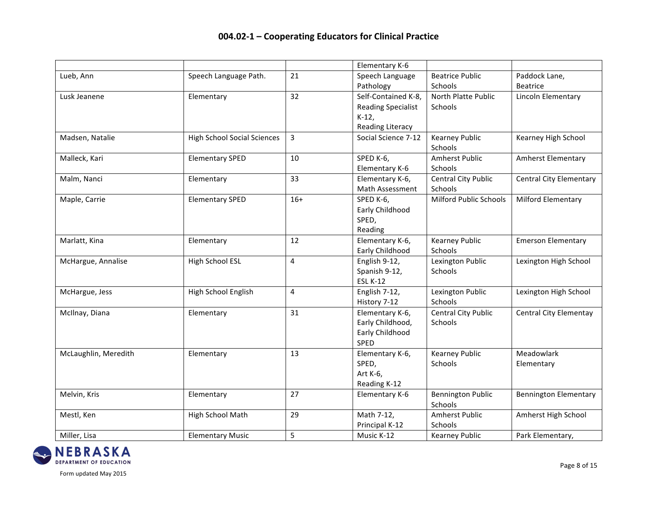|                      |                                    |       | Elementary K-6                                                                          |                                       |                                |
|----------------------|------------------------------------|-------|-----------------------------------------------------------------------------------------|---------------------------------------|--------------------------------|
| Lueb, Ann            | Speech Language Path.              | 21    | Speech Language<br>Pathology                                                            | <b>Beatrice Public</b><br>Schools     | Paddock Lane,<br>Beatrice      |
| Lusk Jeanene         | Elementary                         | 32    | Self-Contained K-8,<br><b>Reading Specialist</b><br>$K-12$ ,<br><b>Reading Literacy</b> | North Platte Public<br>Schools        | Lincoln Elementary             |
| Madsen, Natalie      | <b>High School Social Sciences</b> | 3     | Social Science 7-12                                                                     | <b>Kearney Public</b><br>Schools      | Kearney High School            |
| Malleck, Kari        | <b>Elementary SPED</b>             | 10    | SPED K-6,<br>Elementary K-6                                                             | <b>Amherst Public</b><br>Schools      | Amherst Elementary             |
| Malm, Nanci          | Elementary                         | 33    | Elementary K-6,<br>Math Assessment                                                      | <b>Central City Public</b><br>Schools | <b>Central City Elementary</b> |
| Maple, Carrie        | <b>Elementary SPED</b>             | $16+$ | SPED K-6,<br>Early Childhood<br>SPED,<br>Reading                                        | <b>Milford Public Schools</b>         | <b>Milford Elementary</b>      |
| Marlatt, Kina        | Elementary                         | 12    | Elementary K-6,<br>Early Childhood                                                      | <b>Kearney Public</b><br>Schools      | <b>Emerson Elementary</b>      |
| McHargue, Annalise   | <b>High School ESL</b>             | 4     | English 9-12,<br>Spanish 9-12,<br><b>ESL K-12</b>                                       | Lexington Public<br>Schools           | Lexington High School          |
| McHargue, Jess       | High School English                | 4     | English 7-12,<br>History 7-12                                                           | Lexington Public<br>Schools           | Lexington High School          |
| McIlnay, Diana       | Elementary                         | 31    | Elementary K-6,<br>Early Childhood,<br>Early Childhood<br>SPED                          | <b>Central City Public</b><br>Schools | <b>Central City Elementay</b>  |
| McLaughlin, Meredith | Elementary                         | 13    | Elementary K-6,<br>SPED,<br>Art K-6,<br>Reading K-12                                    | <b>Kearney Public</b><br>Schools      | Meadowlark<br>Elementary       |
| Melvin, Kris         | Elementary                         | 27    | Elementary K-6                                                                          | <b>Bennington Public</b><br>Schools   | <b>Bennington Elementary</b>   |
| Mestl, Ken           | High School Math                   | 29    | Math 7-12,<br>Principal K-12                                                            | <b>Amherst Public</b><br>Schools      | Amherst High School            |
| Miller, Lisa         | <b>Elementary Music</b>            | 5     | Music K-12                                                                              | <b>Kearney Public</b>                 | Park Elementary,               |

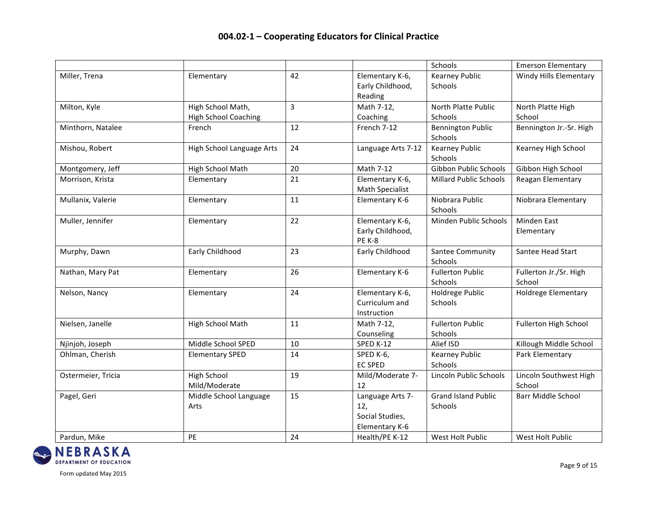|                    |                                                  |    |                                                              | Schools                               | <b>Emerson Elementary</b>        |
|--------------------|--------------------------------------------------|----|--------------------------------------------------------------|---------------------------------------|----------------------------------|
| Miller, Trena      | Elementary                                       | 42 | Elementary K-6,<br>Early Childhood,<br>Reading               | <b>Kearney Public</b><br>Schools      | <b>Windy Hills Elementary</b>    |
| Milton, Kyle       | High School Math,<br><b>High School Coaching</b> | 3  | Math 7-12,<br>Coaching                                       | North Platte Public<br>Schools        | North Platte High<br>School      |
| Minthorn, Natalee  | French                                           | 12 | French 7-12                                                  | <b>Bennington Public</b><br>Schools   | Bennington Jr.-Sr. High          |
| Mishou, Robert     | High School Language Arts                        | 24 | Language Arts 7-12                                           | <b>Kearney Public</b><br>Schools      | Kearney High School              |
| Montgomery, Jeff   | High School Math                                 | 20 | Math 7-12                                                    | Gibbon Public Schools                 | Gibbon High School               |
| Morrison, Krista   | Elementary                                       | 21 | Elementary K-6,<br>Math Specialist                           | <b>Millard Public Schools</b>         | Reagan Elementary                |
| Mullanix, Valerie  | Elementary                                       | 11 | Elementary K-6                                               | Niobrara Public<br>Schools            | Niobrara Elementary              |
| Muller, Jennifer   | Elementary                                       | 22 | Elementary K-6,<br>Early Childhood,<br><b>PE K-8</b>         | Minden Public Schools                 | Minden East<br>Elementary        |
| Murphy, Dawn       | Early Childhood                                  | 23 | Early Childhood                                              | Santee Community<br>Schools           | Santee Head Start                |
| Nathan, Mary Pat   | Elementary                                       | 26 | Elementary K-6                                               | <b>Fullerton Public</b><br>Schools    | Fullerton Jr./Sr. High<br>School |
| Nelson, Nancy      | Elementary                                       | 24 | Elementary K-6,<br>Curriculum and<br>Instruction             | Holdrege Public<br>Schools            | <b>Holdrege Elementary</b>       |
| Nielsen, Janelle   | High School Math                                 | 11 | Math 7-12,<br>Counseling                                     | <b>Fullerton Public</b><br>Schools    | Fullerton High School            |
| Njinjoh, Joseph    | Middle School SPED                               | 10 | SPED K-12                                                    | Alief ISD                             | Killough Middle School           |
| Ohlman, Cherish    | <b>Elementary SPED</b>                           | 14 | SPED K-6,<br><b>EC SPED</b>                                  | <b>Kearney Public</b><br>Schools      | Park Elementary                  |
| Ostermeier, Tricia | <b>High School</b><br>Mild/Moderate              | 19 | Mild/Moderate 7-<br>12                                       | Lincoln Public Schools                | Lincoln Southwest High<br>School |
| Pagel, Geri        | Middle School Language<br>Arts                   | 15 | Language Arts 7-<br>12,<br>Social Studies,<br>Elementary K-6 | <b>Grand Island Public</b><br>Schools | <b>Barr Middle School</b>        |
| Pardun, Mike       | PE                                               | 24 | Health/PE K-12                                               | West Holt Public                      | West Holt Public                 |

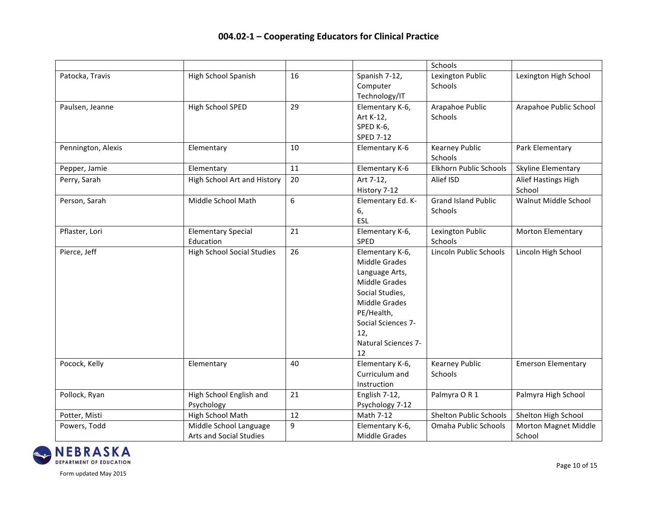|                    |                                                   |                  |                                                                                                                                                                                               | Schools                               |                                |
|--------------------|---------------------------------------------------|------------------|-----------------------------------------------------------------------------------------------------------------------------------------------------------------------------------------------|---------------------------------------|--------------------------------|
| Patocka, Travis    | High School Spanish                               | 16               | Spanish 7-12,<br>Computer<br>Technology/IT                                                                                                                                                    | Lexington Public<br>Schools           | Lexington High School          |
| Paulsen, Jeanne    | High School SPED                                  | 29               | Elementary K-6,<br>Art K-12,<br>SPED K-6,<br><b>SPED 7-12</b>                                                                                                                                 | Arapahoe Public<br>Schools            | Arapahoe Public School         |
| Pennington, Alexis | Elementary                                        | 10               | Elementary K-6                                                                                                                                                                                | <b>Kearney Public</b><br>Schools      | Park Elementary                |
| Pepper, Jamie      | Elementary                                        | 11               | Elementary K-6                                                                                                                                                                                | Elkhorn Public Schools                | Skyline Elementary             |
| Perry, Sarah       | <b>High School Art and History</b>                | 20               | Art 7-12,<br>History 7-12                                                                                                                                                                     | Alief ISD                             | Alief Hastings High<br>School  |
| Person, Sarah      | Middle School Math                                | $\boldsymbol{6}$ | Elementary Ed. K-<br>6,<br>ESL                                                                                                                                                                | <b>Grand Island Public</b><br>Schools | Walnut Middle School           |
| Pflaster, Lori     | <b>Elementary Special</b><br>Education            | 21               | Elementary K-6,<br>SPED                                                                                                                                                                       | Lexington Public<br>Schools           | <b>Morton Elementary</b>       |
| Pierce, Jeff       | <b>High School Social Studies</b>                 | 26               | Elementary K-6,<br>Middle Grades<br>Language Arts,<br><b>Middle Grades</b><br>Social Studies,<br>Middle Grades<br>PE/Health,<br>Social Sciences 7-<br>12,<br><b>Natural Sciences 7-</b><br>12 | Lincoln Public Schools                | Lincoln High School            |
| Pocock, Kelly      | Elementary                                        | 40               | Elementary K-6,<br>Curriculum and<br>Instruction                                                                                                                                              | <b>Kearney Public</b><br>Schools      | <b>Emerson Elementary</b>      |
| Pollock, Ryan      | High School English and<br>Psychology             | 21               | English 7-12,<br>Psychology 7-12                                                                                                                                                              | Palmyra OR1                           | Palmyra High School            |
| Potter, Misti      | High School Math                                  | 12               | Math 7-12                                                                                                                                                                                     | <b>Shelton Public Schools</b>         | Shelton High School            |
| Powers, Todd       | Middle School Language<br>Arts and Social Studies | 9                | Elementary K-6,<br><b>Middle Grades</b>                                                                                                                                                       | Omaha Public Schools                  | Morton Magnet Middle<br>School |

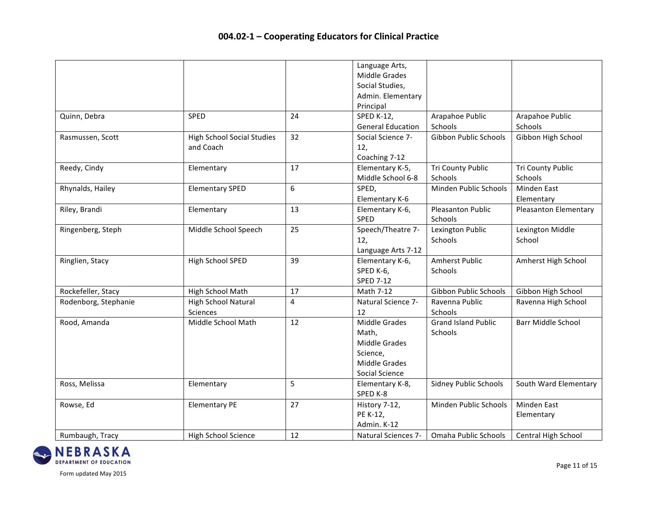|                      |                                                |    | Language Arts,<br><b>Middle Grades</b><br>Social Studies,<br>Admin. Elementary<br>Principal          |                                       |                                     |
|----------------------|------------------------------------------------|----|------------------------------------------------------------------------------------------------------|---------------------------------------|-------------------------------------|
| Quinn, Debra         | <b>SPED</b>                                    | 24 | <b>SPED K-12,</b><br><b>General Education</b>                                                        | Arapahoe Public<br>Schools            | Arapahoe Public<br>Schools          |
| Rasmussen, Scott     | <b>High School Social Studies</b><br>and Coach | 32 | Social Science 7-<br>12,<br>Coaching 7-12                                                            | Gibbon Public Schools                 | Gibbon High School                  |
| Reedy, Cindy         | Elementary                                     | 17 | Elementary K-5,<br>Middle School 6-8                                                                 | Tri County Public<br>Schools          | <b>Tri County Public</b><br>Schools |
| Rhynalds, Hailey     | <b>Elementary SPED</b>                         | 6  | SPED,<br>Elementary K-6                                                                              | Minden Public Schools                 | <b>Minden East</b><br>Elementary    |
| Riley, Brandi        | Elementary                                     | 13 | Elementary K-6,<br><b>SPED</b>                                                                       | <b>Pleasanton Public</b><br>Schools   | <b>Pleasanton Elementary</b>        |
| Ringenberg, Steph    | Middle School Speech                           | 25 | Speech/Theatre 7-<br>12,<br>Language Arts 7-12                                                       | Lexington Public<br>Schools           | Lexington Middle<br>School          |
| Ringlien, Stacy      | High School SPED                               | 39 | Elementary K-6,<br>SPED K-6,<br><b>SPED 7-12</b>                                                     | <b>Amherst Public</b><br>Schools      | Amherst High School                 |
| Rockefeller, Stacy   | High School Math                               | 17 | Math 7-12                                                                                            | Gibbon Public Schools                 | Gibbon High School                  |
| Rodenborg, Stephanie | High School Natural<br><b>Sciences</b>         | 4  | Natural Science 7-<br>12                                                                             | Ravenna Public<br>Schools             | Ravenna High School                 |
| Rood, Amanda         | Middle School Math                             | 12 | <b>Middle Grades</b><br>Math,<br><b>Middle Grades</b><br>Science,<br>Middle Grades<br>Social Science | <b>Grand Island Public</b><br>Schools | <b>Barr Middle School</b>           |
| Ross, Melissa        | Elementary                                     | 5  | Elementary K-8,<br>SPED K-8                                                                          | <b>Sidney Public Schools</b>          | South Ward Elementary               |
| Rowse, Ed            | <b>Elementary PE</b>                           | 27 | History 7-12,<br>PE K-12,<br>Admin. K-12                                                             | Minden Public Schools                 | <b>Minden East</b><br>Elementary    |
| Rumbaugh, Tracy      | <b>High School Science</b>                     | 12 | <b>Natural Sciences 7-</b>                                                                           | Omaha Public Schools                  | <b>Central High School</b>          |

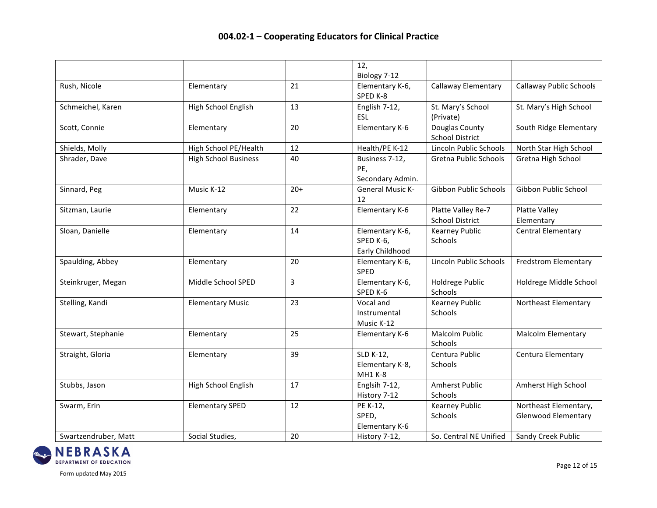|                      |                             |       | 12,<br>Biology 7-12                             |                                              |                                                     |
|----------------------|-----------------------------|-------|-------------------------------------------------|----------------------------------------------|-----------------------------------------------------|
| Rush, Nicole         | Elementary                  | 21    | Elementary K-6,<br>SPED K-8                     | Callaway Elementary                          | Callaway Public Schools                             |
| Schmeichel, Karen    | High School English         | 13    | English 7-12,<br>ESL                            | St. Mary's School<br>(Private)               | St. Mary's High School                              |
| Scott, Connie        | Elementary                  | 20    | Elementary K-6                                  | Douglas County<br><b>School District</b>     | South Ridge Elementary                              |
| Shields, Molly       | High School PE/Health       | 12    | Health/PE K-12                                  | Lincoln Public Schools                       | North Star High School                              |
| Shrader, Dave        | <b>High School Business</b> | 40    | Business 7-12,<br>PE,<br>Secondary Admin.       | Gretna Public Schools                        | Gretna High School                                  |
| Sinnard, Peg         | Music K-12                  | $20+$ | <b>General Music K-</b><br>12                   | Gibbon Public Schools                        | Gibbon Public School                                |
| Sitzman, Laurie      | Elementary                  | 22    | Elementary K-6                                  | Platte Valley Re-7<br><b>School District</b> | <b>Platte Valley</b><br>Elementary                  |
| Sloan, Danielle      | Elementary                  | 14    | Elementary K-6,<br>SPED K-6,<br>Early Childhood | <b>Kearney Public</b><br>Schools             | <b>Central Elementary</b>                           |
| Spaulding, Abbey     | Elementary                  | 20    | Elementary K-6,<br>SPED                         | Lincoln Public Schools                       | <b>Fredstrom Elementary</b>                         |
| Steinkruger, Megan   | Middle School SPED          | 3     | Elementary K-6,<br>SPED K-6                     | Holdrege Public<br>Schools                   | Holdrege Middle School                              |
| Stelling, Kandi      | <b>Elementary Music</b>     | 23    | Vocal and<br>Instrumental<br>Music K-12         | <b>Kearney Public</b><br>Schools             | <b>Northeast Elementary</b>                         |
| Stewart, Stephanie   | Elementary                  | 25    | Elementary K-6                                  | <b>Malcolm Public</b><br>Schools             | <b>Malcolm Elementary</b>                           |
| Straight, Gloria     | Elementary                  | 39    | SLD K-12,<br>Elementary K-8,<br>MH1 K-8         | Centura Public<br>Schools                    | Centura Elementary                                  |
| Stubbs, Jason        | High School English         | 17    | Englsih 7-12,<br>History 7-12                   | <b>Amherst Public</b><br>Schools             | Amherst High School                                 |
| Swarm, Erin          | <b>Elementary SPED</b>      | 12    | PE K-12,<br>SPED,<br>Elementary K-6             | <b>Kearney Public</b><br>Schools             | Northeast Elementary,<br><b>Glenwood Elementary</b> |
| Swartzendruber, Matt | Social Studies,             | 20    | History 7-12,                                   | So. Central NE Unified                       | Sandy Creek Public                                  |

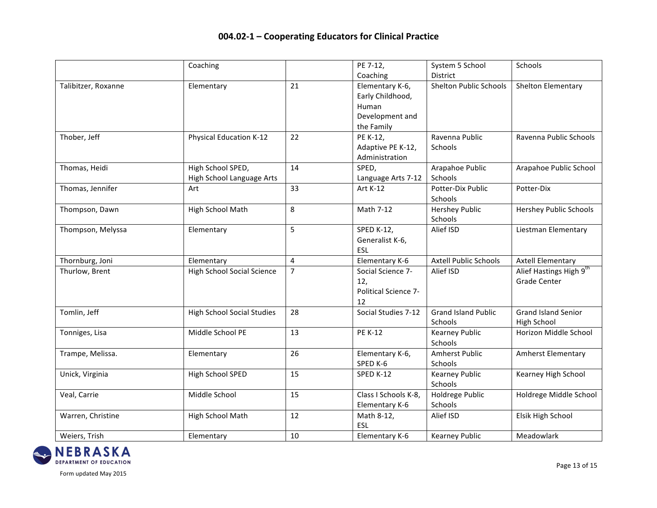|                     | Coaching                          |                | PE 7-12,             | System 5 School               | Schools                       |
|---------------------|-----------------------------------|----------------|----------------------|-------------------------------|-------------------------------|
|                     |                                   |                | Coaching             | District                      |                               |
| Talibitzer, Roxanne | Elementary                        | 21             | Elementary K-6,      | <b>Shelton Public Schools</b> | Shelton Elementary            |
|                     |                                   |                | Early Childhood,     |                               |                               |
|                     |                                   |                | Human                |                               |                               |
|                     |                                   |                | Development and      |                               |                               |
|                     |                                   |                | the Family           |                               |                               |
| Thober, Jeff        | <b>Physical Education K-12</b>    | 22             | PE K-12,             | Ravenna Public                | Ravenna Public Schools        |
|                     |                                   |                | Adaptive PE K-12,    | Schools                       |                               |
|                     |                                   |                | Administration       |                               |                               |
| Thomas, Heidi       | High School SPED,                 | 14             | SPED,                | Arapahoe Public               | Arapahoe Public School        |
|                     | High School Language Arts         |                | Language Arts 7-12   | Schools                       |                               |
| Thomas, Jennifer    | Art                               | 33             | Art K-12             | Potter-Dix Public             | Potter-Dix                    |
|                     |                                   |                |                      | Schools                       |                               |
| Thompson, Dawn      | High School Math                  | 8              | Math 7-12            | <b>Hershey Public</b>         | <b>Hershey Public Schools</b> |
|                     |                                   |                |                      | Schools                       |                               |
| Thompson, Melyssa   | Elementary                        | 5              | <b>SPED K-12,</b>    | Alief ISD                     | Liestman Elementary           |
|                     |                                   |                | Generalist K-6,      |                               |                               |
|                     |                                   |                | ESL                  |                               |                               |
| Thornburg, Joni     | Elementary                        | 4              | Elementary K-6       | <b>Axtell Public Schools</b>  | <b>Axtell Elementary</b>      |
| Thurlow, Brent      | <b>High School Social Science</b> | $\overline{7}$ | Social Science 7-    | Alief ISD                     | Alief Hastings High 9th       |
|                     |                                   |                | 12,                  |                               | <b>Grade Center</b>           |
|                     |                                   |                | Political Science 7- |                               |                               |
|                     |                                   |                | 12                   |                               |                               |
| Tomlin, Jeff        | <b>High School Social Studies</b> | 28             | Social Studies 7-12  | <b>Grand Island Public</b>    | <b>Grand Island Senior</b>    |
|                     |                                   |                |                      | Schools                       | High School                   |
| Tonniges, Lisa      | Middle School PE                  | 13             | <b>PE K-12</b>       | <b>Kearney Public</b>         | Horizon Middle School         |
|                     |                                   |                |                      | Schools                       |                               |
| Trampe, Melissa.    | Elementary                        | 26             | Elementary K-6,      | <b>Amherst Public</b>         | <b>Amherst Elementary</b>     |
|                     |                                   |                | SPED K-6             | Schools                       |                               |
| Unick, Virginia     | High School SPED                  | 15             | SPED K-12            | <b>Kearney Public</b>         | Kearney High School           |
|                     |                                   |                |                      | Schools                       |                               |
| Veal, Carrie        | Middle School                     | 15             | Class I Schools K-8, | Holdrege Public               | Holdrege Middle School        |
|                     |                                   |                | Elementary K-6       | Schools                       |                               |
| Warren, Christine   | High School Math                  | 12             | Math 8-12,           | Alief ISD                     | Elsik High School             |
|                     |                                   |                | <b>ESL</b>           |                               |                               |
| Weiers, Trish       | Elementary                        | 10             | Elementary K-6       | <b>Kearney Public</b>         | Meadowlark                    |

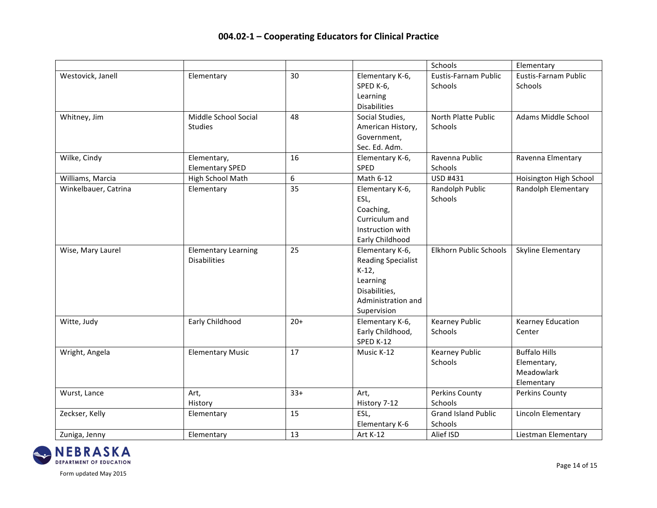|                      |                                                   |       |                                                                                                                            | Schools                               | Elementary                                                      |
|----------------------|---------------------------------------------------|-------|----------------------------------------------------------------------------------------------------------------------------|---------------------------------------|-----------------------------------------------------------------|
| Westovick, Janell    | Elementary                                        | 30    | Elementary K-6,<br>SPED K-6,<br>Learning<br><b>Disabilities</b>                                                            | Eustis-Farnam Public<br>Schools       | Eustis-Farnam Public<br>Schools                                 |
| Whitney, Jim         | Middle School Social<br><b>Studies</b>            | 48    | Social Studies,<br>American History,<br>Government,<br>Sec. Ed. Adm.                                                       | North Platte Public<br>Schools        | Adams Middle School                                             |
| Wilke, Cindy         | Elementary,<br><b>Elementary SPED</b>             | 16    | Elementary K-6,<br>SPED                                                                                                    | Ravenna Public<br>Schools             | Ravenna Elmentary                                               |
| Williams, Marcia     | High School Math                                  | 6     | Math 6-12                                                                                                                  | USD #431                              | Hoisington High School                                          |
| Winkelbauer, Catrina | Elementary                                        | 35    | Elementary K-6,<br>ESL,<br>Coaching,<br>Curriculum and<br>Instruction with<br>Early Childhood                              | Randolph Public<br>Schools            | Randolph Elementary                                             |
| Wise, Mary Laurel    | <b>Elementary Learning</b><br><b>Disabilities</b> | 25    | Elementary K-6,<br><b>Reading Specialist</b><br>$K-12$ ,<br>Learning<br>Disabilities,<br>Administration and<br>Supervision | Elkhorn Public Schools                | Skyline Elementary                                              |
| Witte, Judy          | Early Childhood                                   | $20+$ | Elementary K-6,<br>Early Childhood,<br>SPED K-12                                                                           | <b>Kearney Public</b><br>Schools      | <b>Kearney Education</b><br>Center                              |
| Wright, Angela       | <b>Elementary Music</b>                           | 17    | Music K-12                                                                                                                 | <b>Kearney Public</b><br>Schools      | <b>Buffalo Hills</b><br>Elementary,<br>Meadowlark<br>Elementary |
| Wurst, Lance         | Art,<br>History                                   | $33+$ | Art,<br>History 7-12                                                                                                       | <b>Perkins County</b><br>Schools      | Perkins County                                                  |
| Zeckser, Kelly       | Elementary                                        | 15    | ESL,<br><b>Elementary K-6</b>                                                                                              | <b>Grand Island Public</b><br>Schools | Lincoln Elementary                                              |
| Zuniga, Jenny        | Elementary                                        | 13    | Art K-12                                                                                                                   | Alief ISD                             | Liestman Elementary                                             |